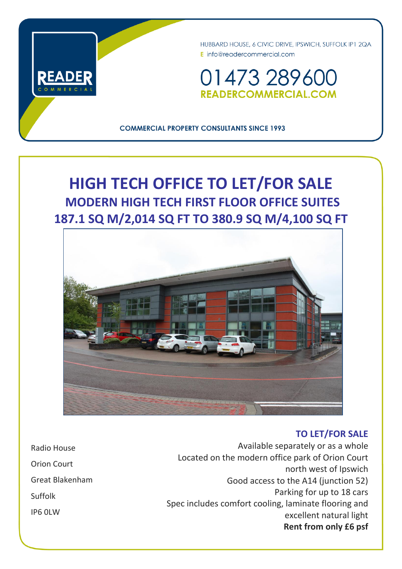

HUBBARD HOUSE, 6 CIVIC DRIVE, IPSWICH, SUFFOLK IP1 2QA E info@readercommercial.com

01473 28960 **READERCOMMERCIAL.COM** 

**COMMERCIAL PROPERTY CONSULTANTS SINCE 1993** 

# **HIGH TECH OFFICE TO LET/FOR SALE MODERN HIGH TECH FIRST FLOOR OFFICE SUITES 187.1 SQ M/2,014 SQ FT TO 380.9 SQ M/4,100 SQ FT**



## **TO LET/FOR SALE**

Radio House Orion Court Great Blakenham Suffolk IP6 0LW

Available separately or as a whole Located on the modern office park of Orion Court north west of Ipswich Good access to the A14 (junction 52) Parking for up to 18 cars Spec includes comfort cooling, laminate flooring and excellent natural light **Rent from only £6 psf**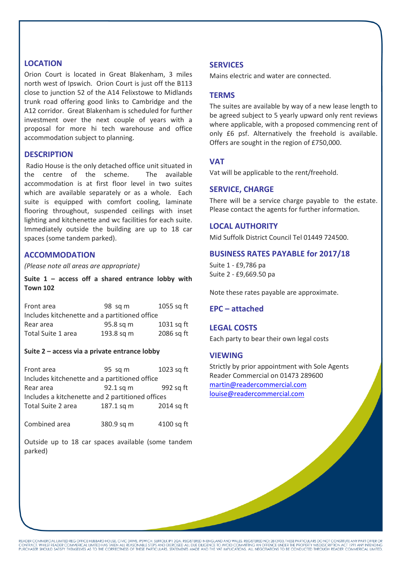## **LOCATION**

Orion Court is located in Great Blakenham, 3 miles north west of Ipswich. Orion Court is just off the B113 close to junction 52 of the A14 Felixstowe to Midlands trunk road offering good links to Cambridge and the A12 corridor. Great Blakenham is scheduled for further investment over the next couple of years with a proposal for more hi tech warehouse and office accommodation subject to planning.

#### **DESCRIPTION**

Radio House is the only detached office unit situated in the centre of the scheme. The available accommodation is at first floor level in two suites which are available separately or as a whole. Each suite is equipped with comfort cooling, laminate flooring throughout, suspended ceilings with inset lighting and kitchenette and wc facilities for each suite. Immediately outside the building are up to 18 car spaces (some tandem parked).

## **ACCOMMODATION**

*(Please note all areas are appropriate)*

**Suite 1 – access off a shared entrance lobby with Town 102**

| Front area                                    | $98$ sq m  | 1055 sq ft |  |
|-----------------------------------------------|------------|------------|--|
| Includes kitchenette and a partitioned office |            |            |  |
| Rear area                                     | 95.8 sq m  | 1031 sq ft |  |
| Total Suite 1 area                            | 193.8 sq m | 2086 sq ft |  |

#### **Suite 2 – access via a private entrance lobby**

| Front area                                       | 95 sq m    | 1023 sq ft |  |
|--------------------------------------------------|------------|------------|--|
| Includes kitchenette and a partitioned office    |            |            |  |
| Rear area                                        | 92.1 sq m  | 992 sq ft  |  |
| Includes a kitchenette and 2 partitioned offices |            |            |  |
| Total Suite 2 area                               | 187.1 sq m | 2014 sq ft |  |
|                                                  |            |            |  |
| Combined area                                    | 380.9 sq m | 4100 sq ft |  |

Outside up to 18 car spaces available (some tandem parked)

#### **SERVICES**

Mains electric and water are connected.

#### **TERMS**

The suites are available by way of a new lease length to be agreed subject to 5 yearly upward only rent reviews where applicable, with a proposed commencing rent of only £6 psf. Alternatively the freehold is available. Offers are sought in the region of £750,000.

#### **VAT**

Vat will be applicable to the rent/freehold.

#### **SERVICE, CHARGE**

There will be a service charge payable to the estate. Please contact the agents for further information.

#### **LOCAL AUTHORITY**

Mid Suffolk District Council Tel 01449 724500.

#### **BUSINESS RATES PAYABLE for 2017/18**

Suite 1 - £9,786 pa Suite 2 - £9,669.50 pa

Note these rates payable are approximate.

## **EPC – attached**

#### **LEGAL COSTS**

Each party to bear their own legal costs

#### **VIEWING**

Strictly by prior appointment with Sole Agents Reader Commercial on 01473 289600 [martin@readercommercial.com](mailto:martin@readercommercial.com)  [louise@readercommercial.com](mailto:louise@readercommercial.com)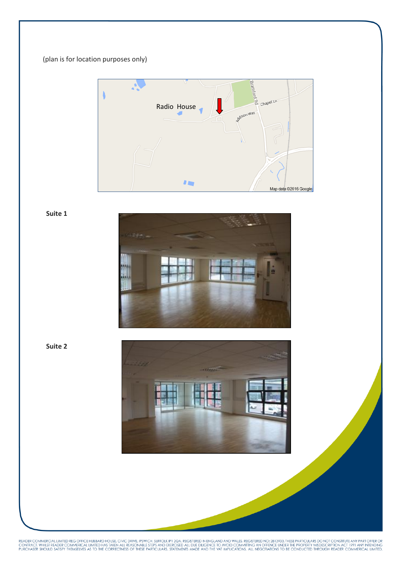## (plan is for location purposes only)



**Suite 1**



 **Suite 2**



READER COMMERCIAL LIMITED REG OFFICE HUBBARD HOUSE, CIVIC DRIVE, IPSWICH, SUFFOLK IP 1 2QA. REGISTERED IN ENGLAND AND WALES. REGISTERED NO: 2813933. THESE PARTICULARS DO NOT CONSTITUTE ANY PART OFFER OR<br>CONTRACT. WHILST RE